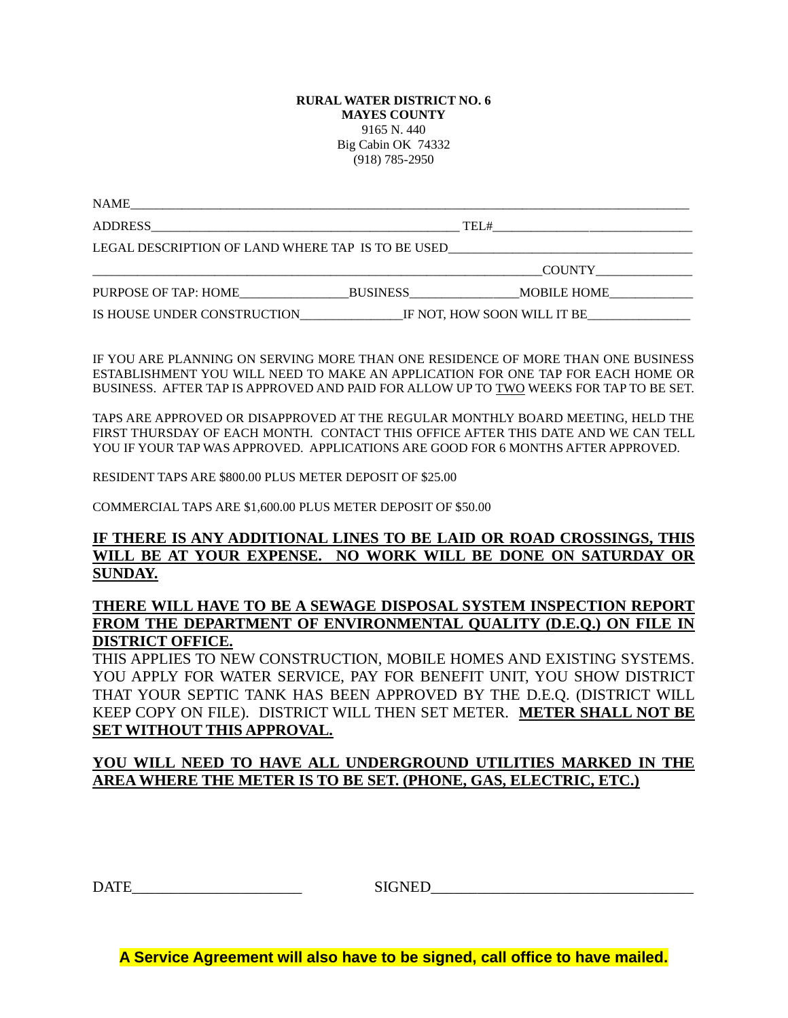#### **RURAL WATER DISTRICT NO. 6 MAYES COUNTY** 9165 N. 440 Big Cabin OK 74332 (918) 785-2950

| NAME                 |                                                         |                                                                                  |
|----------------------|---------------------------------------------------------|----------------------------------------------------------------------------------|
|                      |                                                         | TEL#<br><u> 1980 - John Stein, Amerikaansk politiker (</u>                       |
|                      |                                                         | LEGAL DESCRIPTION OF LAND WHERE TAP IS TO BE USED_______________________________ |
|                      |                                                         | <b>COUNTY</b>                                                                    |
| PURPOSE OF TAP: HOME | <b>BUSINESS</b>                                         | MOBILE HOME                                                                      |
|                      | IS HOUSE UNDER CONSTRUCTION IF NOT, HOW SOON WILL IT BE |                                                                                  |

IF YOU ARE PLANNING ON SERVING MORE THAN ONE RESIDENCE OF MORE THAN ONE BUSINESS ESTABLISHMENT YOU WILL NEED TO MAKE AN APPLICATION FOR ONE TAP FOR EACH HOME OR BUSINESS. AFTER TAP IS APPROVED AND PAID FOR ALLOW UP TO TWO WEEKS FOR TAP TO BE SET.

TAPS ARE APPROVED OR DISAPPROVED AT THE REGULAR MONTHLY BOARD MEETING, HELD THE FIRST THURSDAY OF EACH MONTH. CONTACT THIS OFFICE AFTER THIS DATE AND WE CAN TELL YOU IF YOUR TAP WAS APPROVED. APPLICATIONS ARE GOOD FOR 6 MONTHS AFTER APPROVED.

RESIDENT TAPS ARE \$800.00 PLUS METER DEPOSIT OF \$25.00

COMMERCIAL TAPS ARE \$1,600.00 PLUS METER DEPOSIT OF \$50.00

#### **IF THERE IS ANY ADDITIONAL LINES TO BE LAID OR ROAD CROSSINGS, THIS WILL BE AT YOUR EXPENSE. NO WORK WILL BE DONE ON SATURDAY OR SUNDAY.**

### **THERE WILL HAVE TO BE A SEWAGE DISPOSAL SYSTEM INSPECTION REPORT FROM THE DEPARTMENT OF ENVIRONMENTAL QUALITY (D.E.Q.) ON FILE IN DISTRICT OFFICE.**

THIS APPLIES TO NEW CONSTRUCTION, MOBILE HOMES AND EXISTING SYSTEMS. YOU APPLY FOR WATER SERVICE, PAY FOR BENEFIT UNIT, YOU SHOW DISTRICT THAT YOUR SEPTIC TANK HAS BEEN APPROVED BY THE D.E.Q. (DISTRICT WILL KEEP COPY ON FILE). DISTRICT WILL THEN SET METER. **METER SHALL NOT BE SET WITHOUT THIS APPROVAL.**

### **YOU WILL NEED TO HAVE ALL UNDERGROUND UTILITIES MARKED IN THE AREA WHERE THE METER IS TO BE SET. (PHONE, GAS, ELECTRIC, ETC.)**

 $\Box$ 

**A Service Agreement will also have to be signed, call office to have mailed.**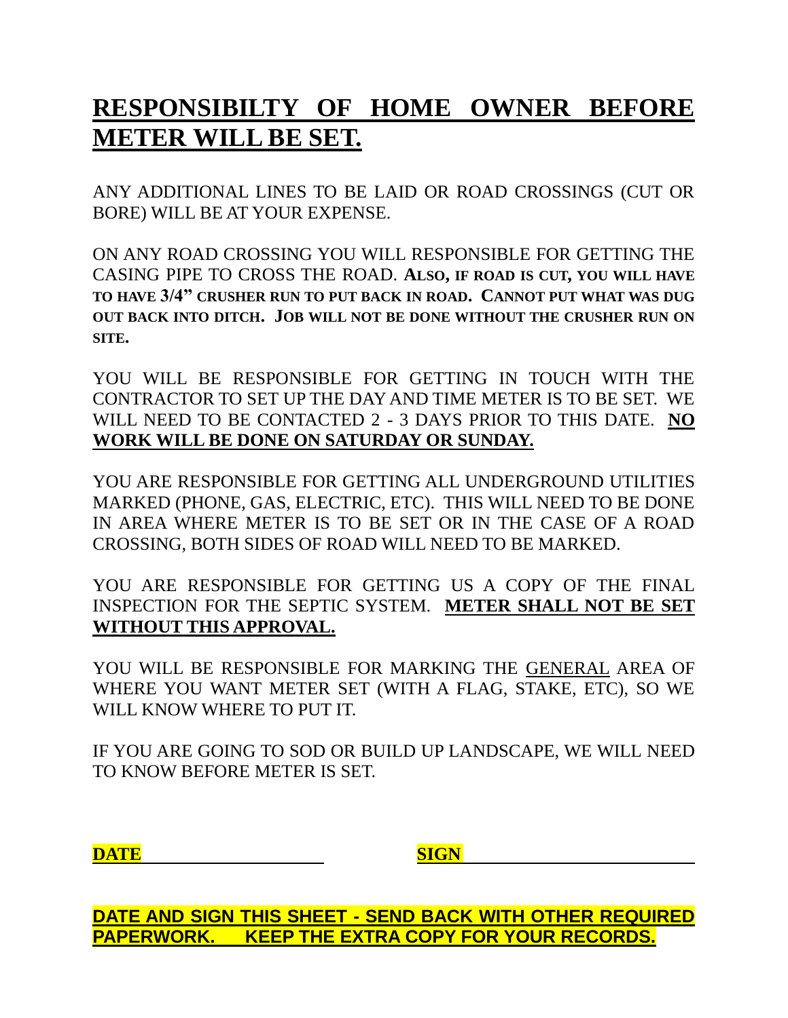# **RESPONSIBILTY OF HOME OWNER BEFORE METER WILL BE SET.**

ANY ADDITIONAL LINES TO BE LAID OR ROAD CROSSINGS (CUT OR BORE) WILL BE AT YOUR EXPENSE.

ON ANY ROAD CROSSING YOU WILL RESPONSIBLE FOR GETTING THE CASING PIPE TO CROSS THE ROAD. **ALSO, IF ROAD IS CUT, YOU WILL HAVE TO HAVE 3/4" CRUSHER RUN TO PUT BACK IN ROAD. CANNOT PUT WHAT WAS DUG OUT BACK INTO DITCH. JOB WILL NOT BE DONE WITHOUT THE CRUSHER RUN ON SITE.**

YOU WILL BE RESPONSIBLE FOR GETTING IN TOUCH WITH THE CONTRACTOR TO SET UP THE DAY AND TIME METER IS TO BE SET. WE WILL NEED TO BE CONTACTED 2 - 3 DAYS PRIOR TO THIS DATE. **NO WORK WILL BE DONE ON SATURDAY OR SUNDAY.**

YOU ARE RESPONSIBLE FOR GETTING ALL UNDERGROUND UTILITIES MARKED (PHONE, GAS, ELECTRIC, ETC). THIS WILL NEED TO BE DONE IN AREA WHERE METER IS TO BE SET OR IN THE CASE OF A ROAD CROSSING, BOTH SIDES OF ROAD WILL NEED TO BE MARKED.

YOU ARE RESPONSIBLE FOR GETTING US A COPY OF THE FINAL INSPECTION FOR THE SEPTIC SYSTEM. **METER SHALL NOT BE SET WITHOUT THIS APPROVAL.**

YOU WILL BE RESPONSIBLE FOR MARKING THE GENERAL AREA OF WHERE YOU WANT METER SET (WITH A FLAG, STAKE, ETC), SO WE WILL KNOW WHERE TO PUT IT.

IF YOU ARE GOING TO SOD OR BUILD UP LANDSCAPE, WE WILL NEED TO KNOW BEFORE METER IS SET.

**DATE SIGN**

**DATE AND SIGN THIS SHEET - SEND BACK WITH OTHER REQUIRED PAPERWORK. KEEP THE EXTRA COPY FOR YOUR RECORDS.**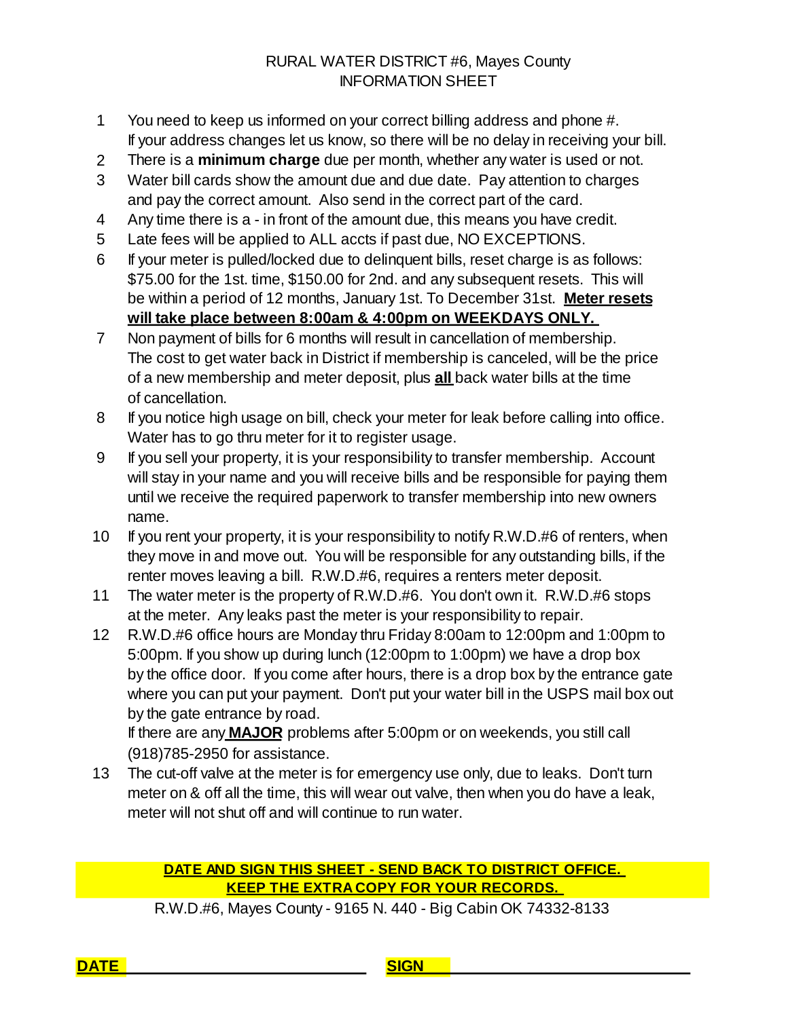## RURAL WATER DISTRICT #6, Mayes County INFORMATION SHEET

- 1 If your address changes let us know, so there will be no delay in receiving your bill. You need to keep us informed on your correct billing address and phone #.
- 2 There is a **minimum charge** due per month, whether any water is used or not.
- 3 Water bill cards show the amount due and due date. Pay attention to charges and pay the correct amount. Also send in the correct part of the card.
- 4 Any time there is a in front of the amount due, this means you have credit.
- 5 Late fees will be applied to ALL accts if past due, NO EXCEPTIONS.
- 6 If your meter is pulled/locked due to delinquent bills, reset charge is as follows: \$75.00 for the 1st. time, \$150.00 for 2nd. and any subsequent resets. This will **will take place between 8:00am & 4:00pm on WEEKDAYS ONLY.** be within a period of 12 months, January 1st. To December 31st. **Meter resets**
- 7 Non payment of bills for 6 months will result in cancellation of membership. The cost to get water back in District if membership is canceled, will be the price of cancellation. of a new membership and meter deposit, plus **all** back water bills at the time
- 8 If you notice high usage on bill, check your meter for leak before calling into office. Water has to go thru meter for it to register usage.
- 9 If you sell your property, it is your responsibility to transfer membership. Account will stay in your name and you will receive bills and be responsible for paying them until we receive the required paperwork to transfer membership into new owners name.
- 10 If you rent your property, it is your responsibility to notify R.W.D.#6 of renters, when they move in and move out. You will be responsible for any outstanding bills, if the renter moves leaving a bill. R.W.D.#6, requires a renters meter deposit.
- 11 The water meter is the property of R.W.D.#6. You don't own it. R.W.D.#6 stops at the meter. Any leaks past the meter is your responsibility to repair.
- 12 R.W.D.#6 office hours are Monday thru Friday 8:00am to 12:00pm and 1:00pm to 5:00pm. If you show up during lunch (12:00pm to 1:00pm) we have a drop box by the office door. If you come after hours, there is a drop box by the entrance gate where you can put your payment. Don't put your water bill in the USPS mail box out by the gate entrance by road.

(918)785-2950 for assistance. If there are any **MAJOR** problems after 5:00pm or on weekends, you still call

13 The cut-off valve at the meter is for emergency use only, due to leaks. Don't turn meter on & off all the time, this will wear out valve, then when you do have a leak, meter will not shut off and will continue to run water.

### **DATE AND SIGN THIS SHEET - SEND BACK TO DISTRICT OFFICE. KEEP THE EXTRA COPY FOR YOUR RECORDS.**

R.W.D.#6, Mayes County - 9165 N. 440 - Big Cabin OK 74332-8133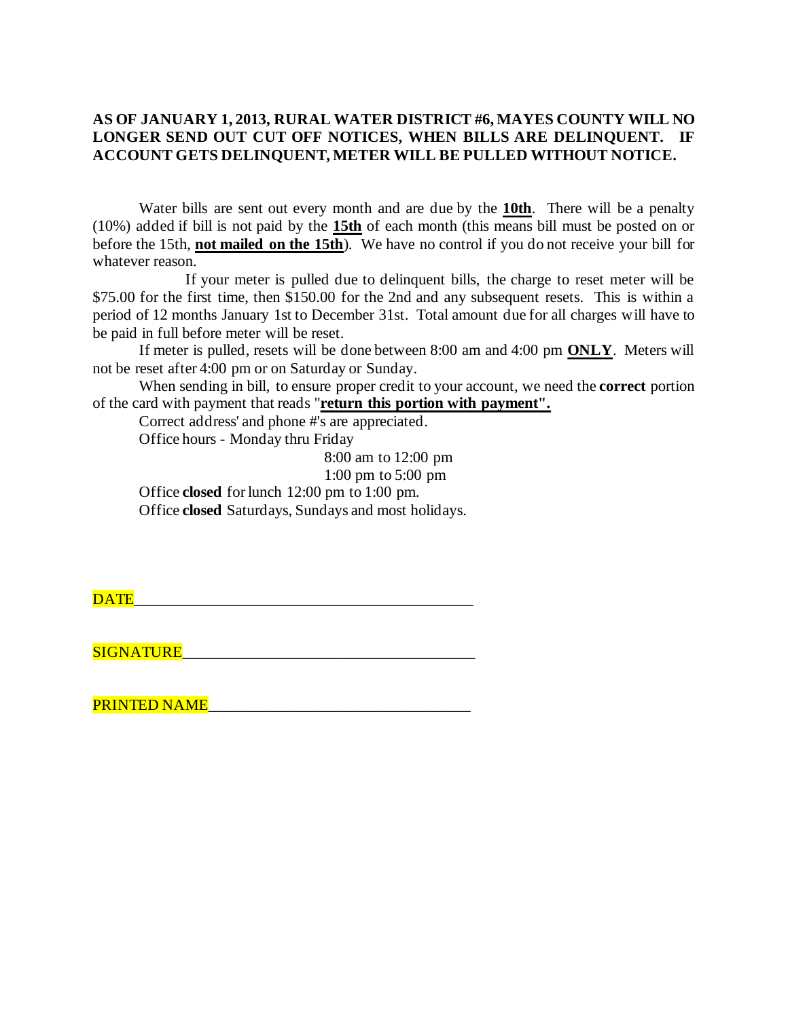### **AS OF JANUARY 1, 2013, RURAL WATER DISTRICT #6, MAYES COUNTY WILL NO LONGER SEND OUT CUT OFF NOTICES, WHEN BILLS ARE DELINQUENT. IF ACCOUNT GETS DELINQUENT, METER WILL BE PULLED WITHOUT NOTICE.**

Water bills are sent out every month and are due by the **10th**. There will be a penalty (10%) added if bill is not paid by the **15th** of each month (this means bill must be posted on or before the 15th, **not mailed on the 15th**). We have no control if you do not receive your bill for whatever reason.

If your meter is pulled due to delinquent bills, the charge to reset meter will be \$75.00 for the first time, then \$150.00 for the 2nd and any subsequent resets. This is within a period of 12 months January 1st to December 31st. Total amount due for all charges will have to be paid in full before meter will be reset.

If meter is pulled, resets will be done between 8:00 am and 4:00 pm **ONLY**. Meters will not be reset after 4:00 pm or on Saturday or Sunday.

When sending in bill, to ensure proper credit to your account, we need the **correct** portion of the card with payment that reads "**return this portion with payment".**

Correct address' and phone #'s are appreciated.

Office hours - Monday thru Friday

8:00 am to 12:00 pm

1:00 pm to 5:00 pm

Office **closed** for lunch 12:00 pm to 1:00 pm.

Office **closed** Saturdays, Sundays and most holidays.

 $\overline{\text{DATE}}$  . The contract of the contract of the contract of the contract of the contract of the contract of the contract of the contract of the contract of the contract of the contract of the contract of the contract of

 $SIGNATIVE$ 

PRINTED NAME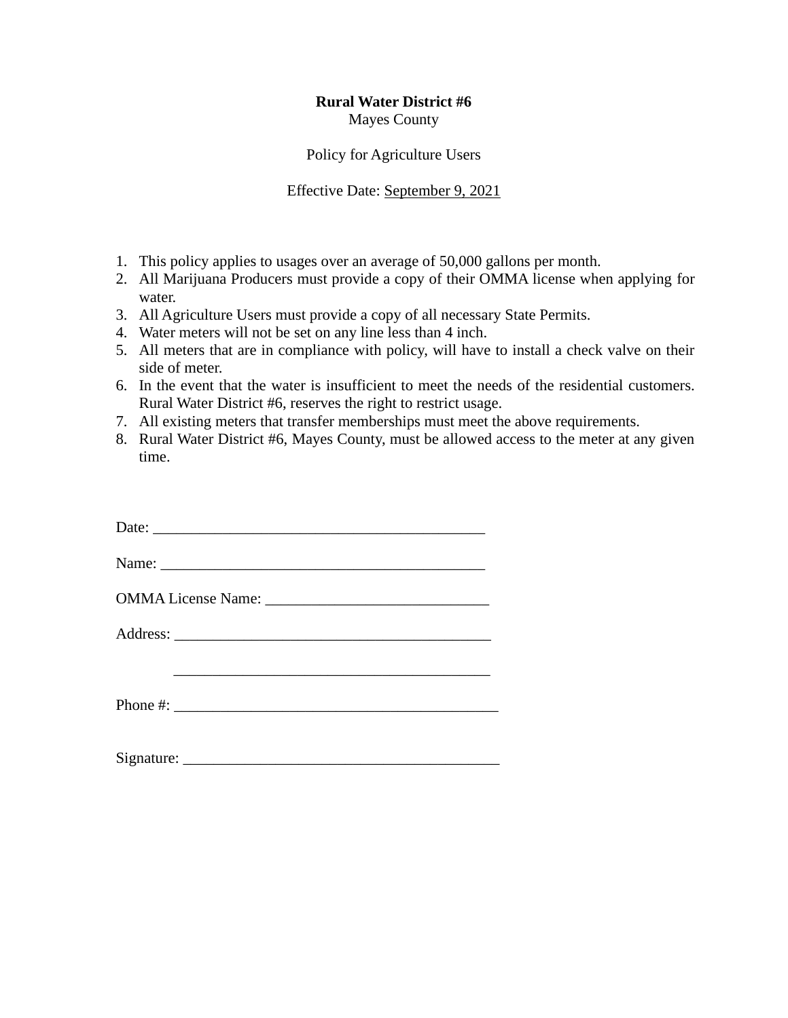#### **Rural Water District #6** Mayes County

Policy for Agriculture Users

Effective Date: September 9, 2021

- 1. This policy applies to usages over an average of 50,000 gallons per month.
- 2. All Marijuana Producers must provide a copy of their OMMA license when applying for water.
- 3. All Agriculture Users must provide a copy of all necessary State Permits.
- 4. Water meters will not be set on any line less than 4 inch.
- 5. All meters that are in compliance with policy, will have to install a check valve on their side of meter.
- 6. In the event that the water is insufficient to meet the needs of the residential customers. Rural Water District #6, reserves the right to restrict usage.
- 7. All existing meters that transfer memberships must meet the above requirements.
- 8. Rural Water District #6, Mayes County, must be allowed access to the meter at any given time.

| Date:                                                                                                                                                                                                                                                                                                              |
|--------------------------------------------------------------------------------------------------------------------------------------------------------------------------------------------------------------------------------------------------------------------------------------------------------------------|
| Name:                                                                                                                                                                                                                                                                                                              |
|                                                                                                                                                                                                                                                                                                                    |
|                                                                                                                                                                                                                                                                                                                    |
|                                                                                                                                                                                                                                                                                                                    |
| Phone #: $\frac{1}{2}$ $\frac{1}{2}$ $\frac{1}{2}$ $\frac{1}{2}$ $\frac{1}{2}$ $\frac{1}{2}$ $\frac{1}{2}$ $\frac{1}{2}$ $\frac{1}{2}$ $\frac{1}{2}$ $\frac{1}{2}$ $\frac{1}{2}$ $\frac{1}{2}$ $\frac{1}{2}$ $\frac{1}{2}$ $\frac{1}{2}$ $\frac{1}{2}$ $\frac{1}{2}$ $\frac{1}{2}$ $\frac{1}{2}$ $\frac{1}{2}$ $\$ |
|                                                                                                                                                                                                                                                                                                                    |

 $Signature:$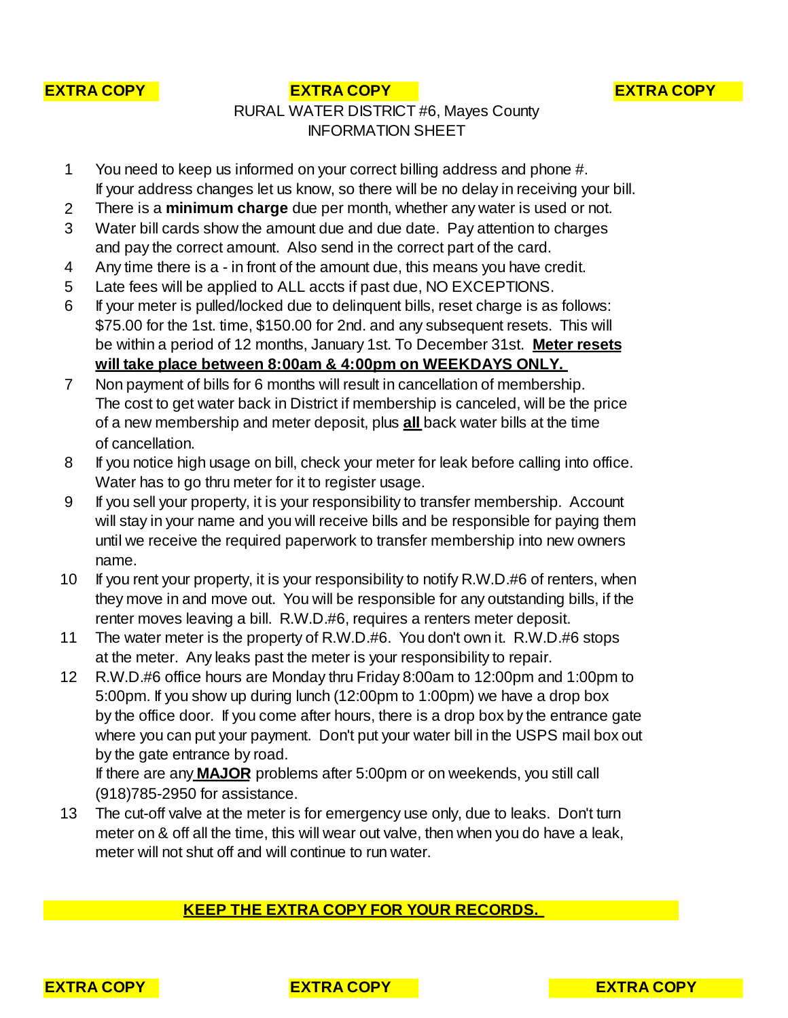

#### **EXTRA COPY EXTRA COPY EXTRA COPY**

## RURAL WATER DISTRICT #6, Mayes County INFORMATION SHEET

- 1 You need to keep us informed on your correct billing address and phone #. If your address changes let us know, so there will be no delay in receiving your bill.
- 2 There is a **minimum charge** due per month, whether any water is used or not.
- 3 Water bill cards show the amount due and due date. Pay attention to charges and pay the correct amount. Also send in the correct part of the card.
- 4 Any time there is a in front of the amount due, this means you have credit.
- 5 Late fees will be applied to ALL accts if past due, NO EXCEPTIONS.
- 6 If your meter is pulled/locked due to delinquent bills, reset charge is as follows: \$75.00 for the 1st. time, \$150.00 for 2nd. and any subsequent resets. This will **will take place between 8:00am & 4:00pm on WEEKDAYS ONLY.** be within a period of 12 months, January 1st. To December 31st. **Meter resets**
- 7 Non payment of bills for 6 months will result in cancellation of membership. The cost to get water back in District if membership is canceled, will be the price of cancellation. of a new membership and meter deposit, plus **all** back water bills at the time
- 8 If you notice high usage on bill, check your meter for leak before calling into office. Water has to go thru meter for it to register usage.
- 9 If you sell your property, it is your responsibility to transfer membership. Account will stay in your name and you will receive bills and be responsible for paying them until we receive the required paperwork to transfer membership into new owners name.
- 10 If you rent your property, it is your responsibility to notify R.W.D.#6 of renters, when they move in and move out. You will be responsible for any outstanding bills, if the renter moves leaving a bill. R.W.D.#6, requires a renters meter deposit.
- 11 The water meter is the property of R.W.D.#6. You don't own it. R.W.D.#6 stops at the meter. Any leaks past the meter is your responsibility to repair.
- 12 R.W.D.#6 office hours are Monday thru Friday 8:00am to 12:00pm and 1:00pm to 5:00pm. If you show up during lunch (12:00pm to 1:00pm) we have a drop box by the office door. If you come after hours, there is a drop box by the entrance gate where you can put your payment. Don't put your water bill in the USPS mail box out by the gate entrance by road.

(918)785-2950 for assistance. If there are any **MAJOR** problems after 5:00pm or on weekends, you still call

13 The cut-off valve at the meter is for emergency use only, due to leaks. Don't turn meter on & off all the time, this will wear out valve, then when you do have a leak, meter will not shut off and will continue to run water.

### **KEEP THE EXTRA COPY FOR YOUR RECORDS.**



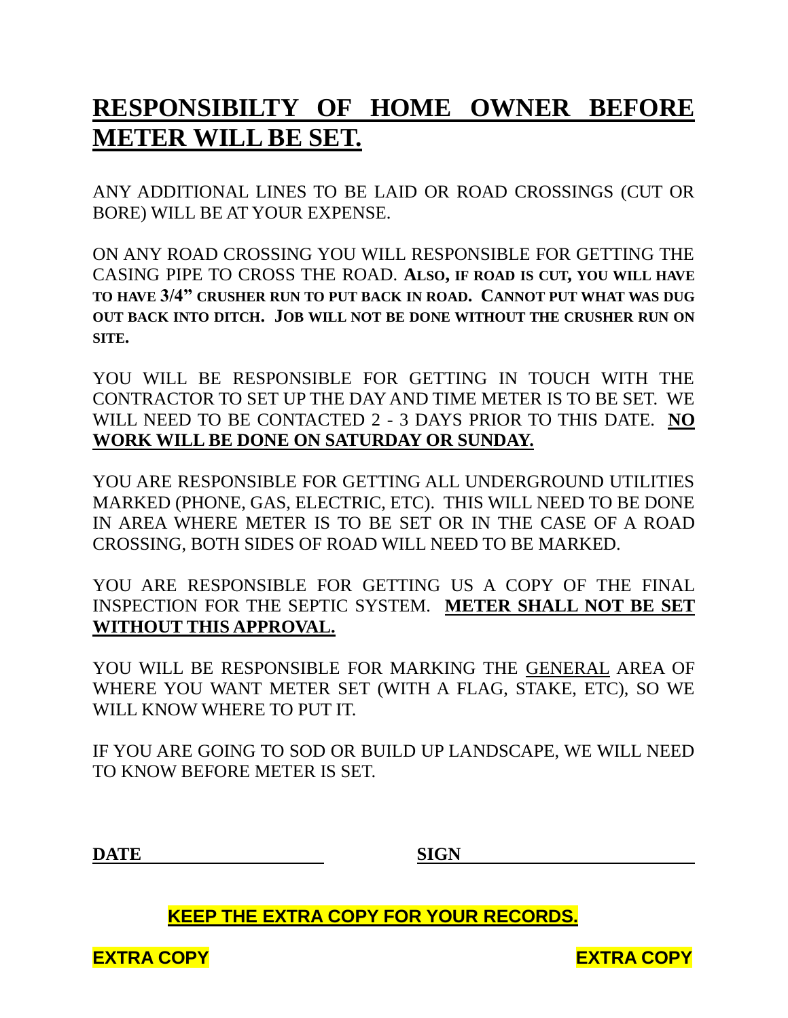# **RESPONSIBILTY OF HOME OWNER BEFORE METER WILL BE SET.**

ANY ADDITIONAL LINES TO BE LAID OR ROAD CROSSINGS (CUT OR BORE) WILL BE AT YOUR EXPENSE.

ON ANY ROAD CROSSING YOU WILL RESPONSIBLE FOR GETTING THE CASING PIPE TO CROSS THE ROAD. **ALSO, IF ROAD IS CUT, YOU WILL HAVE TO HAVE 3/4" CRUSHER RUN TO PUT BACK IN ROAD. CANNOT PUT WHAT WAS DUG OUT BACK INTO DITCH. JOB WILL NOT BE DONE WITHOUT THE CRUSHER RUN ON SITE.**

YOU WILL BE RESPONSIBLE FOR GETTING IN TOUCH WITH THE CONTRACTOR TO SET UP THE DAY AND TIME METER IS TO BE SET. WE WILL NEED TO BE CONTACTED 2 - 3 DAYS PRIOR TO THIS DATE. **NO WORK WILL BE DONE ON SATURDAY OR SUNDAY.**

YOU ARE RESPONSIBLE FOR GETTING ALL UNDERGROUND UTILITIES MARKED (PHONE, GAS, ELECTRIC, ETC). THIS WILL NEED TO BE DONE IN AREA WHERE METER IS TO BE SET OR IN THE CASE OF A ROAD CROSSING, BOTH SIDES OF ROAD WILL NEED TO BE MARKED.

YOU ARE RESPONSIBLE FOR GETTING US A COPY OF THE FINAL INSPECTION FOR THE SEPTIC SYSTEM. **METER SHALL NOT BE SET WITHOUT THIS APPROVAL.**

YOU WILL BE RESPONSIBLE FOR MARKING THE GENERAL AREA OF WHERE YOU WANT METER SET (WITH A FLAG, STAKE, ETC), SO WE WILL KNOW WHERE TO PUT IT.

IF YOU ARE GOING TO SOD OR BUILD UP LANDSCAPE, WE WILL NEED TO KNOW BEFORE METER IS SET.

**DATE SIGN**

 **KEEP THE EXTRA COPY FOR YOUR RECORDS.**

**EXTRA COPY EXTRA COPY**